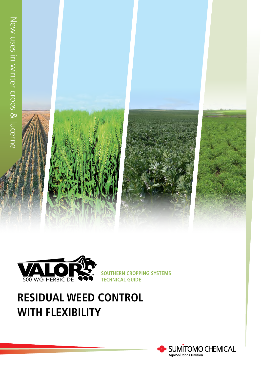



**SOUTHERN CROPPING SYSTEMS TECHNICAL GUIDE**

# **RESIDUAL WEED CONTROL WITH FLEXIBILITY**

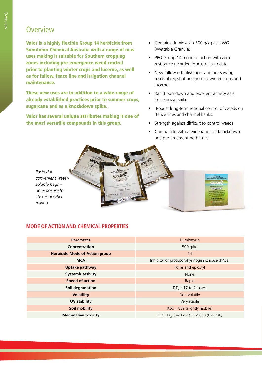### **Overview**

Valor is a highly flexible Group 14 herbicide from Sumitomo Chemical Australia with a range of new uses making it suitable for Southern cropping zones including pre-emergence weed control prior to planting winter crops and lucerne, as well as for fallow, fence line and irrigation channel maintenance.

These new uses are in addition to a wide range of already established practices prior to summer crops, sugarcane and as a knockdown spike.

Valor has several unique attributes making it one of the most versatile compounds in this group.

- Contains flumioxazin 500 g/kg as a WG (Wettable Granule).
- PPO Group 14 mode of action with zero resistance recorded in Australia to date.
- New fallow establishment and pre-sowing residual registrations prior to winter crops and lucerne.
- Rapid burndown and excellent activity as a knockdown spike.
- Robust long-term residual control of weeds on fence lines and channel banks.
- Strength against difficult to control weeds
- Compatible with a wide range of knockdown and pre-emergent herbicides.

 $\overline{R}$ 

*Packed in convenient watersoluble bags – no exposure to chemical when mixing*

### **MODE OF ACTION AND CHEMICAL PROPERTIES**

| <b>Parameter</b>                      | Flumioxazin                                        |  |  |
|---------------------------------------|----------------------------------------------------|--|--|
| Concentration                         | 500 g/kg                                           |  |  |
| <b>Herbicide Mode of Action group</b> | 14                                                 |  |  |
| <b>MoA</b>                            | Inhibitor of protoporphyrinogen oxidase (PPOs)     |  |  |
| <b>Uptake pathway</b>                 | Foliar and epicotyl                                |  |  |
| <b>Systemic activity</b>              | None                                               |  |  |
| <b>Speed of action</b>                | Rapid                                              |  |  |
| Soil degradation                      | $DT_{50}$ : 17 to 21 days                          |  |  |
| <b>Volatility</b>                     | Non-volatile                                       |  |  |
| UV stability                          | Very stable                                        |  |  |
| <b>Soil mobility</b>                  | $Koc = 889$ (slightly mobile)                      |  |  |
| <b>Mammalian toxicity</b>             | Oral LD <sub>50</sub> (mg kg-1) = >5000 (low risk) |  |  |

VALOR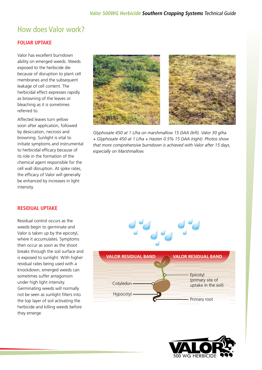# How does Valor work?

#### **FOLIAR UPTAKE**

Valor has excellent burndown ability on emerged weeds. Weeds exposed to the herbicide die because of disruption to plant cell membranes and the subsequent leakage of cell content. The herbicidal effect expresses rapidly as browning of the leaves or bleaching as it is sometimes referred to.

Affected leaves turn yellow soon after application, followed by desiccation, necrosis and browning. Sunlight is vital to initiate symptoms and instrumental to herbicidal efficacy because of its role in the formation of the chemical agent responsible for the cell wall disruption. At spike rates, the efficacy of Valor will generally be enhanced by increases in light intensity.



*Glyphosate 450 at 1 L/ha on marshmallow 15 DAA (left). Valor 30 g/ha + Glyphosate 450 at 1 L/ha + Hasten 0.5% 15 DAA (right). Photos show that more comprehensive burndown is achieved with Valor after 15 days, especially on Marshmallow.*

#### **RESIDUAL UPTAKE**

Residual control occurs as the weeds begin to germinate and Valor is taken up by the epicotyl, where it accumulates. Symptoms then occur as soon as the shoot breaks through the soil surface and is exposed to sunlight. With higher residual rates being used with a knockdown, emerged weeds can sometimes suffer antagonism under high light intensity. Germinating weeds will normally not be seen as sunlight filters into the top layer of soil activating the herbicide and killing weeds before they emerge.



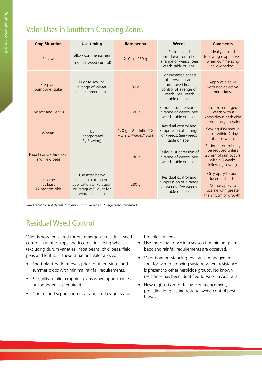# Valor Uses in Southern Cropping Zones

| <b>Crop Situation</b>                   | <b>Use-timing</b>                                                                                              | Rate per ha                                      | <b>Weeds</b>                                                                                                             | <b>Comments</b>                                                                                          |  |
|-----------------------------------------|----------------------------------------------------------------------------------------------------------------|--------------------------------------------------|--------------------------------------------------------------------------------------------------------------------------|----------------------------------------------------------------------------------------------------------|--|
| Fallow                                  | Fallow commencement<br>(residual weed control)                                                                 | 210 g - 280 g                                    | Residual and<br>burndown control of<br>a range of weeds. See<br>weeds table or label.                                    | Ideally applied<br>following crop harvest<br>when commencing<br>fallow period.                           |  |
| Pre-plant<br>burndown spike             | Prior to sowing<br>a range of winter<br>and summer crops                                                       | 30q                                              | For increased speed<br>of brownout and<br>improved final<br>control of a range of<br>weeds. See weeds<br>table or label. | Apply as a spike<br>with non-selective<br>herbicides.                                                    |  |
| Wheat <sup>#</sup> and Lentils          |                                                                                                                | 120q                                             | Residual suppression of<br>a range of weeds. See<br>weeds table or label.                                                | Control emerged<br>weeds with a<br>knockdown herbicide                                                   |  |
| Wheat <sup>#</sup>                      | <b>IBS</b><br>(Incorporated<br>By Sowing)                                                                      | 120 g + 2 L Triflur* $X$<br>+ 3.2 L Avadex* Xtra | Residual control and<br>suppression of a range<br>of weeds. See weeds<br>table or label.                                 | before applying Valor.<br>Sowing (IBS) should<br>occur within 7 days<br>of application.                  |  |
| Faba beans, Chickpeas<br>and Field peas |                                                                                                                | 180q                                             | Residual suppression of<br>a range of weeds. See<br>weeds table or label.                                                | Residual control may<br>be reduced unless<br>25mm of rain occurs<br>within 3 weeks<br>following sowing.  |  |
| Lucerne<br>(at least<br>12 months old)  | Use after heavy<br>grazing, cutting or<br>application of Paraguat<br>or Paraquat/Diquat for<br>winter cleaning | 280q                                             | Residual control and<br>suppression of a range<br>of weeds. See weeds<br>table or label.                                 | Only apply to pure<br>lucerne stands.<br>Do not apply to<br>lucerne with greater<br>than 15cm of growth. |  |

Read label for full details. #Except Durum varieties \*Registered Trademark

# Residual Weed Control

Valor is now registered for pre-emergence residual weed control in winter crops and lucerne, including wheat (excluding durum varieties), faba beans, chickpeas, field peas and lentils. In these situations Valor allows:

- Short plant-back intervals prior to other winter and summer crops with minimal rainfall requirements.
- Flexibility to alter cropping plans when opportunities or contingencies require it.
- Control and suppression of a range of key grass and

broadleaf weeds

- Use more than once in a season if minimum plantback and rainfall requirements are observed.
- Valor is an outstanding resistance management tool for winter cropping systems where resistance is present to other herbicide groups. No known resistance has been identified to Valor in Australia.
- New registration for fallow commencement, providing long lasting residual weed control postharvest.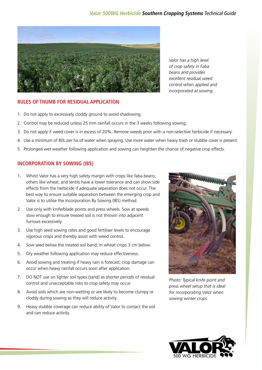#### **Valor 500WG Herbicide Southern Cropping Systems** Technical Guide



Valor has a high level of crop safety in Faba beans and provides excellent residual weed control when applied and incorporated at sowing.

#### **RULES OF THUMB FOR RESIDUAL APPLICATION**

- 1. Do not apply to excessively cloddy ground to avoid shadowing.
- 2. Control may be reduced unless 25 mm rainfall occurs in the 3 weeks following sowing.
- 3. Do not apply if weed cover is in excess of 20%. Remove weeds prior with a non-selective herbicide if necessary.
- 4. Use a minimum of 80L per ha of water when spraying. Use more water when heavy trash or stubble cover is present.
- 5. Prolonged wet weather following application and sowing can heighten the chance of negative crop effects.

#### **INCORPORATION BY SOWING (IBS)**

- 1. Whilst Valor has a very high safety margin with crops like faba beans, others like wheat, and lentils have a lower tolerance and can show side effects from the herbicide if adequate separation does not occur. The best way to ensure suitable separation between the emerging crop and Valor is to utilise the Incorporation By Sowing (IBS) method.
- 2. Use only with knife/blade points and press wheels. Sow at speeds slow enough to ensure treated soil is not thrown into adjacent furrows excessively.
- 3. Use high seed sowing rates and good fertiliser levels to encourage vigorous crops and thereby assist with weed control.
- 4. Sow seed below the treated soil band; in wheat crops 3 cm below.
- 5. Dry weather following application may reduce effectiveness.
- 6. Avoid sowing and treating if heavy rain is forecast, crop damage can occur when heavy rainfall occurs soon after application.
- 7. DO NOT use on lighter soil types (sand) as shorter periods of residual control and unacceptable risks to crop safety may occur.
- 8. Avoid soils which are non-wetting or are likely to become clumpy or cloddy during sowing as they will reduce activity.
- 9. Heavy stubble coverage can reduce ability of Valor to contact the soil and can reduce activity.



Photo: Typical knife point and press wheel setup that is ideal for incorporating Valor when sowing winter crops.

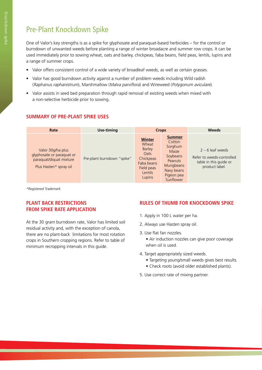# Pre-Plant Knockdown Spike

One of Valor's key strengths is as a spike for glyphosate and paraquat-based herbicides – for the control or burndown of unwanted weeds before planting a range of winter broadacre and summer row crops. It can be used immediately prior to sowing wheat, oats and barley, chickpeas, faba beans, field peas, lentils, lupins and a range of summer crops.

- Valor offers consistent control of a wide variety of broadleaf weeds, as well as certain grasses.
- Valor has good burndown activity against a number of problem weeds including Wild radish (Raphanus raphanistrum), Marshmallow (Malva parviflora) and Wireweed (Polygonum aviculare).
- Valor assists in seed bed preparation through rapid removal of existing weeds when mixed with a non-selective herbicide prior to sowing.

| Rate                                                                                                | Use-timing                 | <b>Crops</b>                                                                                                         |                                                                                                                                 |                                                                                             |  | <b>Weeds</b> |
|-----------------------------------------------------------------------------------------------------|----------------------------|----------------------------------------------------------------------------------------------------------------------|---------------------------------------------------------------------------------------------------------------------------------|---------------------------------------------------------------------------------------------|--|--------------|
| Valor 30g/ha plus<br>glyphosate or paraquat or<br>paraquat/diquat mixture<br>Plus Hasten* spray oil | Pre-plant burndown "spike" | <b>Winter</b><br>Wheat<br><b>Barley</b><br><b>Oats</b><br>Chickpeas<br>Faba beans<br>Field peas<br>Lentils<br>Lupins | <b>Summer</b><br>Cotton<br>Sorghum<br>Maize<br>Soybeans<br><b>Peanuts</b><br>Mungbeans<br>Navy beans<br>Pigeon pea<br>Sunflower | $2 - 6$ leaf weeds<br>Refer to weeds-controlled<br>table in this guide or<br>product label. |  |              |

\*Registered Trademark

#### **PLANT BACK RESTRICTIONS FROM SPIKE RATE APPLICATION**

At the 30 gram burndown rate, Valor has limited soil residual activity and, with the exception of canola, there are no plant-back limitations for most rotation crops in Southern cropping regions. Refer to table of minimum recropping intervals in this guide.

#### **RULES OF THUMB FOR KNOCKDOWN SPIKE**

- 1. Apply in 100 L water per ha.
- 2. Always use Hasten spray oil.
- 3. Use flat fan nozzles.
	- Air induction nozzles can give poor coverage when oil is used.
- 4. Target appropriately sized weeds.
	- Targeting young/small weeds gives best results.
	- Check roots (avoid older established plants).
- 5. Use correct rate of mixing partner.

### **SUMMARY OF PRE-PLANT SPIKE USES**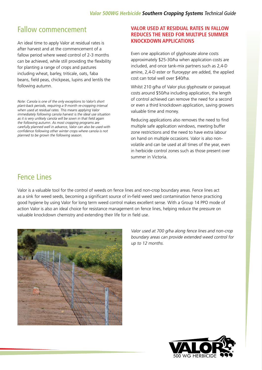### Fallow commencement

An ideal time to apply Valor at residual rates is after harvest and at the commencement of a fallow period where weed control of 2-3 months can be achieved, while still providing the flexibility for planting a range of crops and pastures including wheat, barley, triticale, oats, faba beans, field peas, chickpeas, lupins and lentils the following autumn.

Note: Canola is one of the only exceptions to Valor's short plant-back periods, requiring a 9 month re-cropping interval when used at residual rates. This means applying Valor immediately following canola harvest is the ideal use situation as it is very unlikely canola will be sown in that field again the following autumn. As most cropping programs are carefully planned well in advance, Valor can also be used with confidence following other winter crops where canola is not planned to be grown the following season.

#### **VALOR USED AT RESIDUAL RATES IN FALLOW REDUCES THE NEED FOR MULTIPLE SUMMER KNOCKDOWN APPLICATIONS**

Even one application of glyphosate alone costs approximately \$25-30/ha when application costs are included, and once tank-mix partners such as 2,4-D amine, 2,4-D ester or fluroxypyr are added, the applied cost can total well over \$40/ha.

Whilst 210 g/ha of Valor plus glyphosate or paraquat costs around \$50/ha including application, the length of control achieved can remove the need for a second or even a third knockdown application, saving growers valuable time and money.

Reducing applications also removes the need to find multiple safe application windows, meeting buffer zone restrictions and the need to have extra labour on hand on multiple occasions. Valor is also nonvolatile and can be used at all times of the year, even in herbicide control zones such as those present over summer in Victoria.

### Fence Lines

Valor is a valuable tool for the control of weeds on fence lines and non-crop boundary areas. Fence lines act as a sink for weed seeds, becoming a significant source of in-field weed seed contamination hence practicing good hygiene by using Valor for long term weed control makes excellent sense. With a Group 14 PPO mode of action Valor is also an ideal choice for resistance management on fence lines, helping reduce the pressure on valuable knockdown chemistry and extending their life for in field use.



Valor used at 700 g/ha along fence lines and non-crop boundary areas can provide extended weed control for up to 12 months.

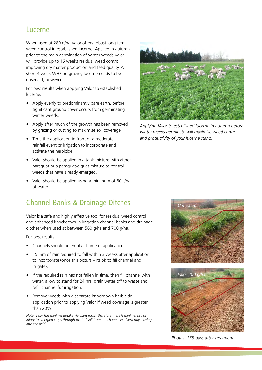### Lucerne

When used at 280 g/ha Valor offers robust long term weed control in established lucerne. Applied in autumn prior to the main germination of winter weeds Valor will provide up to 16 weeks residual weed control, improving dry matter production and feed quality. A short 4-week WHP on grazing lucerne needs to be observed, however.

For best results when applying Valor to established lucerne,

- Apply evenly to predominantly bare earth, before significant ground cover occurs from germinating winter weeds.
- Apply after much of the growth has been removed by grazing or cutting to maximise soil coverage.
- Time the application in front of a moderate rainfall event or irrigation to incorporate and activate the herbicide
- Valor should be applied in a tank mixture with either paraquat or a paraquat/diquat mixture to control weeds that have already emerged.
- Valor should be applied using a minimum of 80 L/ha of water

# Channel Banks & Drainage Ditches

Valor is a safe and highly effective tool for residual weed control and enhanced knockdown in irrigation channel banks and drainage ditches when used at between 560 g/ha and 700 g/ha.

For best results:

- Channels should be empty at time of application
- 15 mm of rain required to fall within 3 weeks after application to incorporate (once this occurs – its ok to fill channel and irrigate).
- If the required rain has not fallen in time, then fill channel with water, allow to stand for 24 hrs, drain water off to waste and refill channel for irrigation.
- Remove weeds with a separate knockdown herbicide application prior to applying Valor if weed coverage is greater than 20%.

Note: Valor has minimal uptake via plant roots, therefore there is minimal risk of injury to emerged crops through treated soil from the channel inadvertently moving into the field.



Applying Valor to established lucerne in autumn before winter weeds germinate will maximise weed control and productivity of your lucerne stand.





Photos: 155 days after treatment.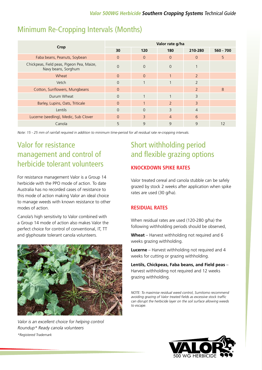### Minimum Re-Cropping Intervals (Months)

|                                                                  | Valor rate g/ha |          |                          |                          |             |  |
|------------------------------------------------------------------|-----------------|----------|--------------------------|--------------------------|-------------|--|
| Crop                                                             | 30              | 120      | 180                      | 210-280                  | $560 - 700$ |  |
| Faba beans, Peanuts, Soybean                                     | $\Omega$        | $\Omega$ | $\Omega$                 | $\Omega$                 | 5           |  |
| Chickpeas, Field peas, Pigeon Pea, Maize,<br>Navy beans, Sorghum | $\Omega$        | $\Omega$ | $\Omega$                 |                          |             |  |
| Wheat                                                            | $\Omega$        | $\Omega$ | $\overline{ }$           | $\overline{2}$           |             |  |
| Vetch                                                            | $\Omega$        |          |                          | $\overline{\phantom{0}}$ |             |  |
| Cotton, Sunflowers, Mungbeans                                    | $\Omega$        |          |                          | $\overline{\phantom{0}}$ | 8           |  |
| Durum Wheat                                                      | $\Omega$        |          |                          | 3                        |             |  |
| Barley, Lupins, Oats, Triticale                                  | $\Omega$        |          | $\overline{\phantom{0}}$ | 3                        |             |  |
| Lentils                                                          | $\Omega$        | $\Omega$ | 3                        | $\overline{4}$           |             |  |
| Lucerne (seedling), Medic, Sub Clover                            | $\Omega$        | 3        | $\overline{4}$           | 6                        |             |  |
| Canola                                                           | 5               | 9        | 9                        | 9                        | 12          |  |

Note: 15 - 25 mm of rainfall required in addition to minimum time-period for all residual rate re-cropping intervals.

# Valor for resistance management and control of herbicide tolerant volunteers

For resistance management Valor is a Group 14 herbicide with the PPO mode of action. To date Australia has no recorded cases of resistance to this mode of action making Valor an ideal choice to manage weeds with known resistance to other modes of action.

Canola's high sensitivity to Valor combined with a Group 14 mode of action also makes Valor the perfect choice for control of conventional, IT, TT and glyphosate tolerant canola volunteers.



Valor is an excellent choice for helping control Roundup\* Ready canola volunteers \*Registered Trademark

# Short withholding period and flexible grazing options

#### **KNOCKDOWN SPIKE RATES**

Valor treated cereal and canola stubble can be safely grazed by stock 2 weeks after application when spike rates are used (30 g/ha).

#### **RESIDUAL RATES**

When residual rates are used (120-280 g/ha) the following withholding periods should be observed,

**Wheat** – Harvest withholding not required and 6 weeks grazing withholding.

**Lucerne** – Harvest withholding not required and 4 weeks for cutting or grazing withholding.

**Lentils, Chickpeas, Faba beans, and Field peas** – Harvest withholding not required and 12 weeks grazing withholding.

NOTE: To maximise residual weed control, Sumitomo recommend avoiding grazing of Valor treated fields as excessive stock traffic can disrupt the herbicide layer on the soil surface allowing weeds to escape.

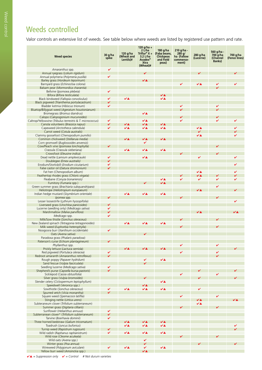# Weeds controlled

Valor controls an extensive list of weeds. See table below where weeds are listed by registered use pattern and rate.

| <b>Weed species</b>                                       | $30$ g/ha<br>spike | 120 $q/ha$<br>(Wheat and<br>Lentils)# | 120 g/ha +<br>2 L/ha<br>Triflur® $X +$<br>3.2 L/ha<br><b>Avadex<sup>®</sup></b><br><b>Xtra</b><br>(Wheat)# | 180 g/ha<br>(Faba beans,<br><b>Chickpeas</b><br>and Field<br>peas) | 210 g/ha -<br>280 g/<br>ha (Fallow<br>commence-<br>ment) | 280 g/ha<br>(Lucerne) | 560 g/ha -<br>$700$ g/ha<br>(Channel<br><b>Banks</b> ) | 700 g/ha<br>(Fence lines) |
|-----------------------------------------------------------|--------------------|---------------------------------------|------------------------------------------------------------------------------------------------------------|--------------------------------------------------------------------|----------------------------------------------------------|-----------------------|--------------------------------------------------------|---------------------------|
| Amaranthus spp.                                           | ✓                  |                                       |                                                                                                            |                                                                    |                                                          |                       |                                                        |                           |
| Annual ryegrass (Lolium rigidum)                          |                    |                                       |                                                                                                            |                                                                    |                                                          |                       |                                                        |                           |
| Annual polymeria (Polymeria pusilla)                      | ✓                  |                                       |                                                                                                            |                                                                    |                                                          |                       |                                                        |                           |
| Barley grass (Hordeum leporinum)                          |                    |                                       | ↙▴                                                                                                         |                                                                    |                                                          |                       |                                                        |                           |
| Barnyard grass (Echinocloa colona)                        |                    |                                       |                                                                                                            |                                                                    |                                                          | ✔▲                    |                                                        |                           |
| Balsam pear (Mormordica charantia)                        |                    |                                       |                                                                                                            |                                                                    |                                                          |                       |                                                        |                           |
| Bellvine (Ipomoea plebeia)                                | V                  |                                       |                                                                                                            |                                                                    |                                                          |                       |                                                        |                           |
| Bifora (Bifora testiculata)                               |                    |                                       |                                                                                                            | ✔▲                                                                 |                                                          |                       |                                                        |                           |
| Black bindweed (Fallopia convolvulus)                     | V                  | ✔▲                                    |                                                                                                            | VA                                                                 |                                                          |                       |                                                        |                           |
| Black pigweed (Trianthema portulacastrum)                 | ✓                  |                                       |                                                                                                            |                                                                    |                                                          |                       |                                                        |                           |
| Bladder ketmia (Hibiscus trionum)                         | V                  |                                       |                                                                                                            |                                                                    |                                                          |                       |                                                        |                           |
| Bluetop/Billygoat weed (Ageratum houstonianum)            |                    |                                       |                                                                                                            |                                                                    |                                                          |                       |                                                        |                           |
| Bromegrass (Bromus diandrus)                              |                    |                                       | ✔▲                                                                                                         |                                                                    |                                                          |                       |                                                        |                           |
| Calopo (Calopogonium mucunoides)                          |                    |                                       |                                                                                                            |                                                                    |                                                          |                       |                                                        |                           |
| Caltrop/Yellowvine (Tribulus terrestris & T. micrococcus) | V                  |                                       | ✔▲                                                                                                         |                                                                    |                                                          |                       |                                                        |                           |
| Canola volunteers (Brassica napus)                        | ✓                  | ✔▲                                    | ↙▲                                                                                                         | ✔▲                                                                 |                                                          |                       |                                                        |                           |
| Capeweed (Arctotheca calendula)                           | V                  | ✔▲                                    | VÄ                                                                                                         | VÄ                                                                 |                                                          | VÄ                    |                                                        |                           |
| Carrot weed (Cotula australis)                            |                    |                                       |                                                                                                            |                                                                    |                                                          | V                     |                                                        |                           |
| Clammy goosefoot (Chenopodium pumilio)                    |                    |                                       |                                                                                                            |                                                                    |                                                          | VÄ                    |                                                        |                           |
| Common chickweed (Stellaruja media)                       |                    | ✔▲                                    | ✔▲                                                                                                         | VÄ                                                                 |                                                          |                       |                                                        |                           |
| Corn gromwell (Buglossoides anvensis)                     |                    |                                       | V                                                                                                          |                                                                    |                                                          |                       |                                                        |                           |
| Cow/Peach vine (Ipomoea Ionchophylla)                     |                    |                                       |                                                                                                            |                                                                    |                                                          |                       |                                                        |                           |
| Crassula (Crassula sieberiana)                            |                    | ✔▲                                    | VÄ                                                                                                         | ✔▲                                                                 |                                                          |                       |                                                        |                           |
| Crowsfoot (Eleusine indica)                               |                    |                                       |                                                                                                            |                                                                    |                                                          |                       |                                                        |                           |
| Dead nettle (Lamium amplexicaule)                         | ✓                  |                                       | ✔▲                                                                                                         |                                                                    |                                                          |                       |                                                        |                           |
| Doublegee (Emex australis)                                |                    |                                       |                                                                                                            |                                                                    |                                                          |                       |                                                        |                           |
| Erodium/Storksbill (Erodium cicutarium)                   | ✓                  |                                       |                                                                                                            |                                                                    |                                                          |                       |                                                        |                           |
| False castor oil (Datura stromonium)                      | ✓                  |                                       |                                                                                                            |                                                                    |                                                          |                       |                                                        |                           |
| Fat hen (Chenopodium album)                               |                    |                                       |                                                                                                            |                                                                    |                                                          | ✔▲                    |                                                        |                           |
| Feathertop rhodes grass (Chloris virgata)                 |                    |                                       |                                                                                                            |                                                                    |                                                          | ✔▲                    |                                                        |                           |
| Fleabane (Conyza bonariensis)                             |                    |                                       |                                                                                                            | ✔▲                                                                 |                                                          | V                     | V                                                      |                           |
| Fumitory (Fumaria spp.)                                   |                    |                                       |                                                                                                            | ✔▲                                                                 |                                                          |                       |                                                        |                           |
| Green summer grass (Brachiaria subguandripara)            |                    |                                       |                                                                                                            |                                                                    |                                                          |                       | V                                                      |                           |
| Heliotrope (Heliotropium europaeum)                       |                    |                                       |                                                                                                            |                                                                    |                                                          |                       |                                                        |                           |
| Indian hedge mustard (Sisymbrium orientale)               |                    | VÄ                                    | <b>VA</b>                                                                                                  | $\overline{\mathbf{V}}$                                            |                                                          |                       |                                                        |                           |
| Ipomea spp.                                               |                    |                                       |                                                                                                            |                                                                    |                                                          |                       |                                                        |                           |
| Lesser loosestrife (Lythrum hyssopifolia)                 |                    |                                       |                                                                                                            |                                                                    |                                                          |                       |                                                        |                           |
| Liverseed grass (Urochloa panicoides)                     |                    |                                       |                                                                                                            |                                                                    |                                                          |                       |                                                        |                           |
| Lucerne (seedling only) (Medicago sativa)                 |                    |                                       |                                                                                                            |                                                                    |                                                          |                       |                                                        |                           |
| Marshmallow (Malva parviflora)                            |                    |                                       |                                                                                                            |                                                                    |                                                          |                       |                                                        |                           |
| Medicago spp.                                             | ✓                  |                                       |                                                                                                            |                                                                    |                                                          |                       |                                                        |                           |
| Milk/Sow thistle (Sonchus oleraceus)                      |                    |                                       |                                                                                                            |                                                                    |                                                          |                       |                                                        |                           |
| New Zealand spinach (Tetragonia tetragonioides)           |                    | ✔▲                                    | ✔▲                                                                                                         | ✔▲                                                                 |                                                          |                       |                                                        |                           |
| Milk weed (Euphorbia heterophylla)                        |                    |                                       |                                                                                                            |                                                                    |                                                          |                       |                                                        |                           |
| Noogoora burr (Xanthium occidentale)                      |                    |                                       |                                                                                                            |                                                                    |                                                          |                       |                                                        |                           |
| Oats (Avena sativa)                                       |                    |                                       |                                                                                                            |                                                                    |                                                          |                       |                                                        |                           |
| Paradoxa grass (Phalaris paradoxa)                        |                    |                                       |                                                                                                            |                                                                    |                                                          |                       |                                                        |                           |
| Paterson's curse (Echium plantagineum)                    |                    |                                       |                                                                                                            |                                                                    |                                                          |                       |                                                        |                           |
| Phyllanthus spp.                                          |                    |                                       |                                                                                                            |                                                                    |                                                          |                       | V                                                      |                           |
| Prickly lettuce (Lactuca serriola)                        |                    | ✔▲                                    | ↙▴                                                                                                         | ✔▲                                                                 |                                                          |                       |                                                        |                           |
| Red pigweed (Portulaca oleracea)                          | ✓                  |                                       |                                                                                                            |                                                                    | V                                                        |                       |                                                        |                           |
| Redroot amaranth (Amaranthus retroflexus)                 | ✓                  |                                       |                                                                                                            |                                                                    |                                                          |                       |                                                        |                           |
| Rough poppy (Papaver hydridum)                            |                    |                                       | V                                                                                                          | $\overline{\mathbf{V}}$                                            |                                                          |                       |                                                        |                           |
| Sand fescue (Vulpia fasciculata)                          |                    |                                       |                                                                                                            |                                                                    |                                                          |                       |                                                        |                           |
| Seedling lucerne (Medicago sativa)                        | ✓                  |                                       |                                                                                                            |                                                                    |                                                          |                       |                                                        |                           |
| Shepherd's purse (Capsella bursa-pastoris)                |                    |                                       |                                                                                                            |                                                                    |                                                          |                       |                                                        |                           |
| Sicklepod (Cassia obtusifolia)                            |                    |                                       |                                                                                                            |                                                                    |                                                          |                       |                                                        |                           |
| Silver grass (Vulpia bromoides)                           |                    |                                       |                                                                                                            |                                                                    |                                                          |                       |                                                        |                           |
| Slender celery (Ciclospermum leptophyllum)                |                    |                                       |                                                                                                            | VA                                                                 |                                                          |                       |                                                        |                           |
| Speedwell (Veronica spp.)                                 |                    |                                       | ✔▲                                                                                                         |                                                                    |                                                          |                       |                                                        |                           |
| Sowthistle (Sonchus oleraceus)                            | ✓                  | ✔▲                                    | ✔▲                                                                                                         | $\overline{\mathbf{V}}$                                            |                                                          | ✓                     |                                                        |                           |
| Spurred vetch (Vicia monantha)                            |                    |                                       |                                                                                                            |                                                                    |                                                          |                       |                                                        |                           |
| Square weed (Spemacoce latiflia)                          |                    |                                       |                                                                                                            |                                                                    |                                                          |                       |                                                        |                           |
| Stinging nettle (Urtica urens)                            |                    |                                       |                                                                                                            |                                                                    |                                                          | VÄ                    |                                                        |                           |
| Subteraneum clover (Trifolium subterraneum)               |                    |                                       |                                                                                                            |                                                                    |                                                          | ✔▲                    |                                                        |                           |
| Summer grass (Digitaria cilliaris)                        |                    |                                       |                                                                                                            |                                                                    |                                                          |                       |                                                        |                           |
| Sunflower (Helianthus annuus)                             |                    |                                       |                                                                                                            |                                                                    |                                                          |                       |                                                        |                           |
| Subterranean clover* (Trifolium subterraneum)             |                    |                                       |                                                                                                            |                                                                    |                                                          |                       |                                                        |                           |
| Tarvine (Boerhavia dominii)                               |                    |                                       |                                                                                                            |                                                                    |                                                          |                       |                                                        |                           |
| Three horned bedstraw (Galium tricornatum)                |                    | ✔▲                                    | ✔▲                                                                                                         | ✔▲                                                                 |                                                          |                       |                                                        |                           |
| Toadrush (Juncus bufonius)                                |                    | VA                                    | VA                                                                                                         | $\overline{\mathbf{v}}$                                            |                                                          |                       |                                                        |                           |
| Turnip weed (Rapistrum rugosum)                           |                    |                                       |                                                                                                            |                                                                    |                                                          |                       |                                                        |                           |
| Wild radish (Raphanus raphanistrum)                       | V                  | VA                                    | VA                                                                                                         | $\overline{\mathbf{v}}$                                            |                                                          |                       |                                                        |                           |
| Wild rose (Cleome aculeata)                               |                    |                                       |                                                                                                            |                                                                    |                                                          |                       |                                                        |                           |
| Wild oats (Avena spp.)                                    |                    |                                       | V                                                                                                          |                                                                    |                                                          |                       |                                                        |                           |
| Winter grass (Poa annua)                                  |                    |                                       |                                                                                                            |                                                                    |                                                          |                       |                                                        |                           |
| Wireweed (Polygonum aviculare)                            | V                  | ✔▲                                    | V                                                                                                          | VA                                                                 |                                                          |                       |                                                        |                           |
| Yellow burr weed (Amsinckia spp.)                         |                    |                                       | ✔▲                                                                                                         |                                                                    |                                                          |                       |                                                        |                           |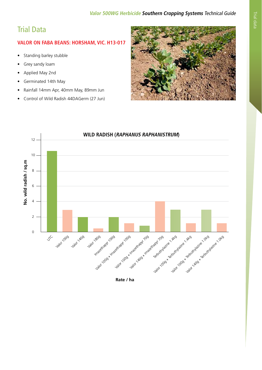# Trial Data

### **VALOR ON FABA BEANS: HORSHAM, VIC. H13-017**

- Standing barley stubble
- Grey sandy loam
- Applied May 2nd
- Germinated 14th May
- Rainfall 14mm Apr, 40mm May, 89mm Jun
- Control of Wild Radish 44DAGerm (27 Jun)





**Rate / ha**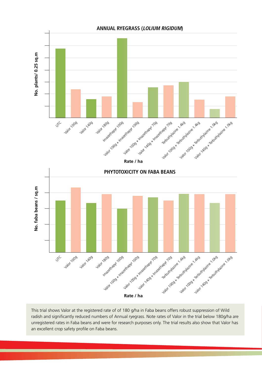

This trial shows Valor at the registered rate of of 180 g/ha in Faba beans offers robust suppression of Wild radish and significantly reduced numbers of Annual ryegrass. Note rates of Valor in the trial below 180g/ha are unregistered rates in Faba beans and were for research purposes only. The trial results also show that Valor has an excellent crop safety profile on Faba beans.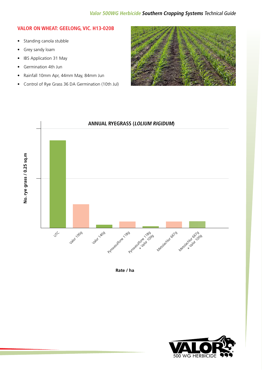#### **VALOR ON WHEAT: GEELONG, VIC. H13-020B**

- Standing canola stubble
- Grey sandy loam
- IBS Application 31 May
- Germination 4th Jun
- Rainfall 10mm Apr, 44mm May, 84mm Jun
- Control of Rye Grass 36 DA Germination (10th Jul)





**Rate / ha**

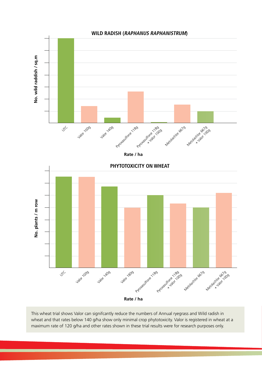

This wheat trial shows Valor can signifcantly reduce the numbers of Annual ryegrass and Wild radish in wheat and that rates below 140 g/ha show only minimal crop phytotoxicity. Valor is registered in wheat at a maximum rate of 120 g/ha and other rates shown in these trial results were for research purposes only.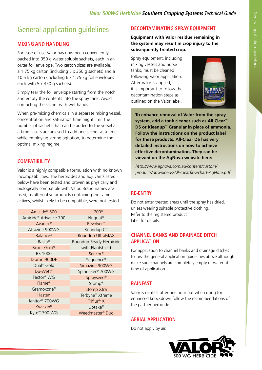# General application guidelines

### **MIXING AND HANDLING**

For ease of use Valor has now been conveniently packed into 350 g water soluble sachets, each in an outer foil envelope. Two carton sizes are available, a 1.75 kg carton (including 5 x 350 g sachets) and a 10.5 kg carton (including 6 x 1.75 kg foil envelopes each with 5 x 350 g sachets).

Simply tear the foil envelope starting from the notch and empty the contents into the spray tank. Avoid contacting the sachet with wet hands.

When pre-mixing chemicals in a separate mixing vessel, concentration and saturation time might limit the number of sachets that can be added to the vessel at a time. Users are advised to add one sachet at a time, while employing strong agitation, to determine the optimal mixing regime.

### **COMPATIBILITY**

Valor is a highly compatible formulation with no known incompatibilities. The herbicides and adjuvants listed below have been tested and proven as physically and biologically compatible with Valor. Brand names are used, as alternative products containing the same actives, whilst likely to be compatible, were not tested.

| Amicide <sup>®</sup> 500         | $LI-700^{\circ}$            |
|----------------------------------|-----------------------------|
| Amicide <sup>®</sup> Advance 700 | Nuquat <sup>®</sup>         |
| Avadex <sup>®</sup>              | Revolver <sup>™</sup>       |
| Atrazine 900WG                   | Roundup CT                  |
| Balance <sup>®</sup>             | Roundup UltraMAX            |
| Basta <sup>®</sup>               | Roundup Ready Herbicide     |
| Boxer Gold <sup>®</sup>          | with Plantshield            |
| <b>BS 1000</b>                   | Sencor <sup>®</sup>         |
| Diuron 900DF                     | Sequence®                   |
| Dual <sup>®</sup> Gold           | Simazine 900WG              |
| Du-Wett <sup>®</sup>             | Spinnaker® 700WG            |
| Factor <sup>®</sup> WG           | Sprayseed <sup>®</sup>      |
| Flame <sup>®</sup>               | Stomp®                      |
| Gramoxone®                       | Stomp Xtra                  |
| Hasten                           | Terbyne® Xtreme             |
| Janitor <sup>®</sup> 700WG       | Triflur <sup>®</sup> $X$    |
| Kwickin <sup>®</sup>             | Uptake®                     |
| Kyte <sup>™</sup> 700 WG         | Weedmaster <sup>®</sup> Duo |

#### **DECONTAMINATING SPRAY EQUIPMENT**

**Equipment with Valor residue remaining in the system may result in crop injury to the subsequently treated crop.** 

Spray equipment, including mixing vessels and nurse tanks, must be cleaned following Valor application. After Valor is applied, it is important to follow the decontamination steps as outlined on the Valor label.



**To enhance removal of Valor from the spray system, add a tank cleaner such as All Clear**™ **DS or Kleenup**™ **Granular in place of ammonia. Follow the instructions on the product label for these products. All-Clear DS has very detailed instructions on how to achieve effective decontamination. They can be viewed on the AgNova website here:**

http://www.agnova.com.au/content/custom/ products/downloads/All-Clearflowchart-AgNote.pdf

### **RE-ENTRY**

Do not enter treated areas until the spray has dried, unless wearing suitable protective clothing. Refer to the registered product label for details.

#### **CHANNEL BANKS AND DRAINAGE DITCH APPLICATION**

For application to channel banks and drainage ditches follow the general application guidelines above although make sure channels are completely empty of water at time of application.

### **RAINFAST**

Valor is rainfast after one hour but when using for enhanced knockdown follow the recommendations of the partner herbicide.

### **AERIAL APPLICATION**

Do not apply by air.